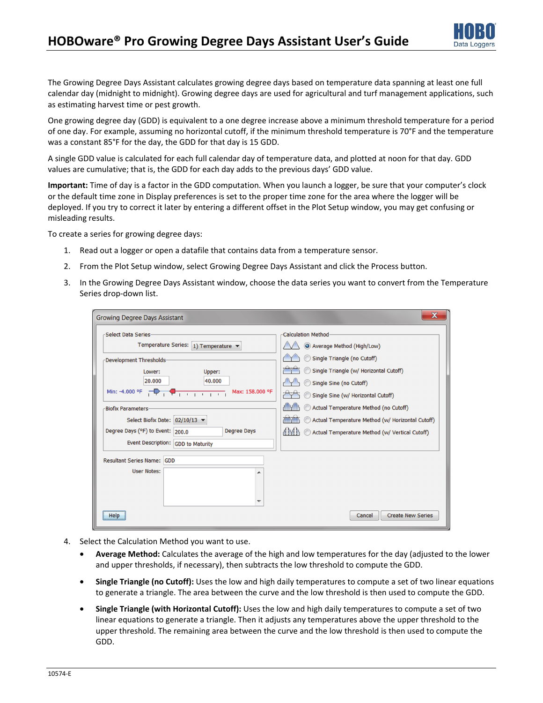

The Growing Degree Days Assistant calculates growing degree days based on temperature data spanning at least one full calendar day (midnight to midnight). Growing degree days are used for agricultural and turf management applications, such as estimating harvest time or pest growth.

One growing degree day (GDD) is equivalent to a one degree increase above a minimum threshold temperature for a period of one day. For example, assuming no horizontal cutoff, if the minimum threshold temperature is 70°F and the temperature was a constant 85°F for the day, the GDD for that day is 15 GDD.

A single GDD value is calculated for each full calendar day of temperature data, and plotted at noon for that day. GDD values are cumulative; that is, the GDD for each day adds to the previous days' GDD value.

**Important:** Time of day is a factor in the GDD computation. When you launch a logger, be sure that your computer's clock or the default time zone in Display preferences is set to the proper time zone for the area where the logger will be deployed. If you try to correct it later by entering a different offset in the Plot Setup window, you may get confusing or misleading results.

To create a series for growing degree days:

- 1. Read out a logger or open a datafile that contains data from a temperature sensor.
- 2. From the Plot Setup window, select Growing Degree Days Assistant and click the Process button.
- 3. In the Growing Degree Days Assistant window, choose the data series you want to convert from the Temperature Series drop-down list.

| <b>Growing Degree Days Assistant</b>                   | X                                                                    |
|--------------------------------------------------------|----------------------------------------------------------------------|
| -Select Data Series-                                   | <b>Calculation Method-</b>                                           |
| Temperature Series: 1) Temperature ▼                   | Average Method (High/Low)                                            |
| -Development Thresholds-                               | Single Triangle (no Cutoff)                                          |
| Lower:<br>Upper:                                       | Single Triangle (w/ Horizontal Cutoff)                               |
| 20,000<br>40,000                                       | Single Sine (no Cutoff)                                              |
| Max: 158.000 °F                                        | Single Sine (w/ Horizontal Cutoff)                                   |
| <b>Biofix Parameters-</b>                              | Actual Temperature Method (no Cutoff)                                |
| Select Biofix Date: 02/10/13 ▼                         | <b>THE POINT</b><br>Actual Temperature Method (w/ Horizontal Cutoff) |
| Degree Days (°F) to Event: 200.0<br><b>Degree Days</b> | <b>AMA</b><br>Actual Temperature Method (w/ Vertical Cutoff)         |
| Event Description: GDD to Maturity                     |                                                                      |
| <b>Resultant Series Name: GDD</b>                      |                                                                      |
| <b>User Notes:</b>                                     |                                                                      |
|                                                        |                                                                      |
|                                                        |                                                                      |
| ▼                                                      |                                                                      |
| Help                                                   | <b>Create New Series</b><br>Cancel                                   |

- 4. Select the Calculation Method you want to use.
	- **Average Method:** Calculates the average of the high and low temperatures for the day (adjusted to the lower and upper thresholds, if necessary), then subtracts the low threshold to compute the GDD.
	- **Single Triangle (no Cutoff):** Uses the low and high daily temperatures to compute a set of two linear equations to generate a triangle. The area between the curve and the low threshold is then used to compute the GDD.
	- **Single Triangle (with Horizontal Cutoff):** Uses the low and high daily temperatures to compute a set of two linear equations to generate a triangle. Then it adjusts any temperatures above the upper threshold to the upper threshold. The remaining area between the curve and the low threshold is then used to compute the GDD.